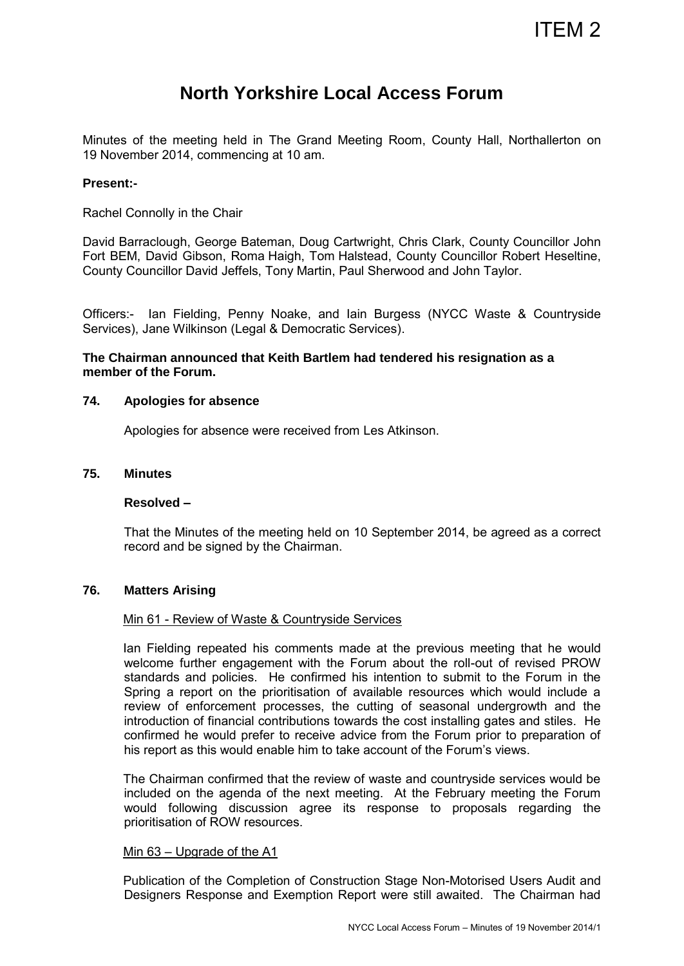# ITEM 2

# **North Yorkshire Local Access Forum**

Minutes of the meeting held in The Grand Meeting Room, County Hall, Northallerton on 19 November 2014, commencing at 10 am.

#### **Present:-**

Rachel Connolly in the Chair

David Barraclough, George Bateman, Doug Cartwright, Chris Clark, County Councillor John Fort BEM, David Gibson, Roma Haigh, Tom Halstead, County Councillor Robert Heseltine, County Councillor David Jeffels, Tony Martin, Paul Sherwood and John Taylor.

Officers:- Ian Fielding, Penny Noake, and Iain Burgess (NYCC Waste & Countryside Services), Jane Wilkinson (Legal & Democratic Services).

## **The Chairman announced that Keith Bartlem had tendered his resignation as a member of the Forum.**

#### **74. Apologies for absence**

Apologies for absence were received from Les Atkinson.

#### **75. Minutes**

#### **Resolved –**

That the Minutes of the meeting held on 10 September 2014, be agreed as a correct record and be signed by the Chairman.

#### **76. Matters Arising**

#### Min 61 - Review of Waste & Countryside Services

Ian Fielding repeated his comments made at the previous meeting that he would welcome further engagement with the Forum about the roll-out of revised PROW standards and policies. He confirmed his intention to submit to the Forum in the Spring a report on the prioritisation of available resources which would include a review of enforcement processes, the cutting of seasonal undergrowth and the introduction of financial contributions towards the cost installing gates and stiles. He confirmed he would prefer to receive advice from the Forum prior to preparation of his report as this would enable him to take account of the Forum's views.

The Chairman confirmed that the review of waste and countryside services would be included on the agenda of the next meeting. At the February meeting the Forum would following discussion agree its response to proposals regarding the prioritisation of ROW resources.

#### Min 63 – Upgrade of the A1

Publication of the Completion of Construction Stage Non-Motorised Users Audit and Designers Response and Exemption Report were still awaited. The Chairman had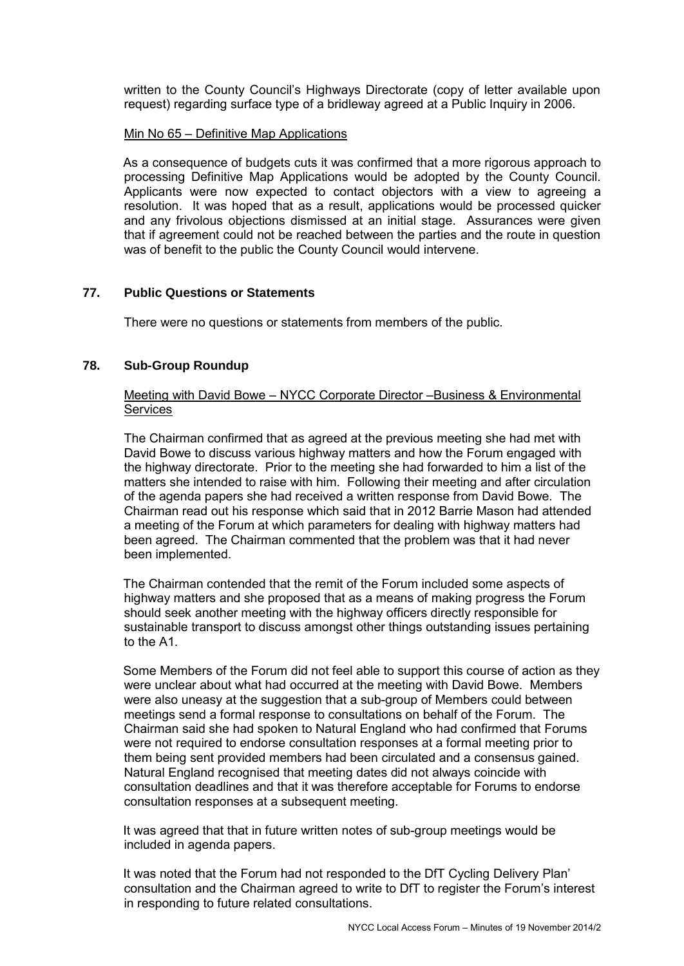written to the County Council's Highways Directorate (copy of letter available upon request) regarding surface type of a bridleway agreed at a Public Inquiry in 2006.

#### Min No 65 – Definitive Map Applications

As a consequence of budgets cuts it was confirmed that a more rigorous approach to processing Definitive Map Applications would be adopted by the County Council. Applicants were now expected to contact objectors with a view to agreeing a resolution. It was hoped that as a result, applications would be processed quicker and any frivolous objections dismissed at an initial stage. Assurances were given that if agreement could not be reached between the parties and the route in question was of benefit to the public the County Council would intervene.

# **77. Public Questions or Statements**

There were no questions or statements from members of the public.

# **78. Sub-Group Roundup**

# Meeting with David Bowe – NYCC Corporate Director –Business & Environmental **Services**

 The Chairman confirmed that as agreed at the previous meeting she had met with David Bowe to discuss various highway matters and how the Forum engaged with the highway directorate. Prior to the meeting she had forwarded to him a list of the matters she intended to raise with him. Following their meeting and after circulation of the agenda papers she had received a written response from David Bowe. The Chairman read out his response which said that in 2012 Barrie Mason had attended a meeting of the Forum at which parameters for dealing with highway matters had been agreed. The Chairman commented that the problem was that it had never been implemented.

The Chairman contended that the remit of the Forum included some aspects of highway matters and she proposed that as a means of making progress the Forum should seek another meeting with the highway officers directly responsible for sustainable transport to discuss amongst other things outstanding issues pertaining to the A1.

Some Members of the Forum did not feel able to support this course of action as they were unclear about what had occurred at the meeting with David Bowe. Members were also uneasy at the suggestion that a sub-group of Members could between meetings send a formal response to consultations on behalf of the Forum. The Chairman said she had spoken to Natural England who had confirmed that Forums were not required to endorse consultation responses at a formal meeting prior to them being sent provided members had been circulated and a consensus gained. Natural England recognised that meeting dates did not always coincide with consultation deadlines and that it was therefore acceptable for Forums to endorse consultation responses at a subsequent meeting.

It was agreed that that in future written notes of sub-group meetings would be included in agenda papers.

It was noted that the Forum had not responded to the DfT Cycling Delivery Plan' consultation and the Chairman agreed to write to DfT to register the Forum's interest in responding to future related consultations.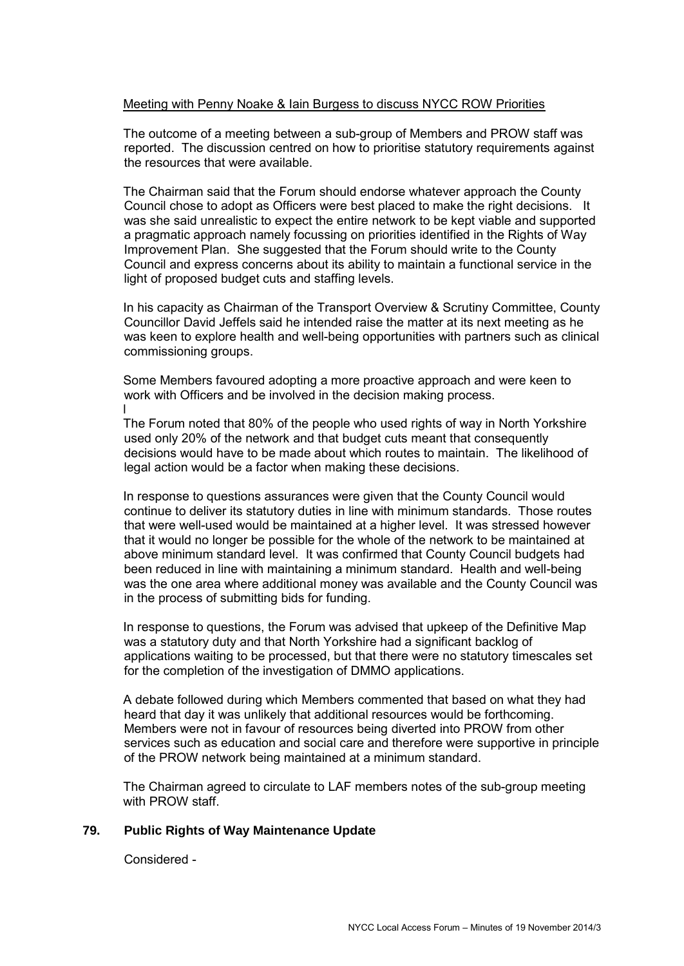# Meeting with Penny Noake & Iain Burgess to discuss NYCC ROW Priorities

The outcome of a meeting between a sub-group of Members and PROW staff was reported. The discussion centred on how to prioritise statutory requirements against the resources that were available.

The Chairman said that the Forum should endorse whatever approach the County Council chose to adopt as Officers were best placed to make the right decisions. It was she said unrealistic to expect the entire network to be kept viable and supported a pragmatic approach namely focussing on priorities identified in the Rights of Way Improvement Plan. She suggested that the Forum should write to the County Council and express concerns about its ability to maintain a functional service in the light of proposed budget cuts and staffing levels.

In his capacity as Chairman of the Transport Overview & Scrutiny Committee, County Councillor David Jeffels said he intended raise the matter at its next meeting as he was keen to explore health and well-being opportunities with partners such as clinical commissioning groups.

Some Members favoured adopting a more proactive approach and were keen to work with Officers and be involved in the decision making process. l

The Forum noted that 80% of the people who used rights of way in North Yorkshire used only 20% of the network and that budget cuts meant that consequently decisions would have to be made about which routes to maintain. The likelihood of legal action would be a factor when making these decisions.

In response to questions assurances were given that the County Council would continue to deliver its statutory duties in line with minimum standards. Those routes that were well-used would be maintained at a higher level. It was stressed however that it would no longer be possible for the whole of the network to be maintained at above minimum standard level. It was confirmed that County Council budgets had been reduced in line with maintaining a minimum standard. Health and well-being was the one area where additional money was available and the County Council was in the process of submitting bids for funding.

In response to questions, the Forum was advised that upkeep of the Definitive Map was a statutory duty and that North Yorkshire had a significant backlog of applications waiting to be processed, but that there were no statutory timescales set for the completion of the investigation of DMMO applications.

A debate followed during which Members commented that based on what they had heard that day it was unlikely that additional resources would be forthcoming. Members were not in favour of resources being diverted into PROW from other services such as education and social care and therefore were supportive in principle of the PROW network being maintained at a minimum standard.

The Chairman agreed to circulate to LAF members notes of the sub-group meeting with PROW staff.

#### **79. Public Rights of Way Maintenance Update**

Considered -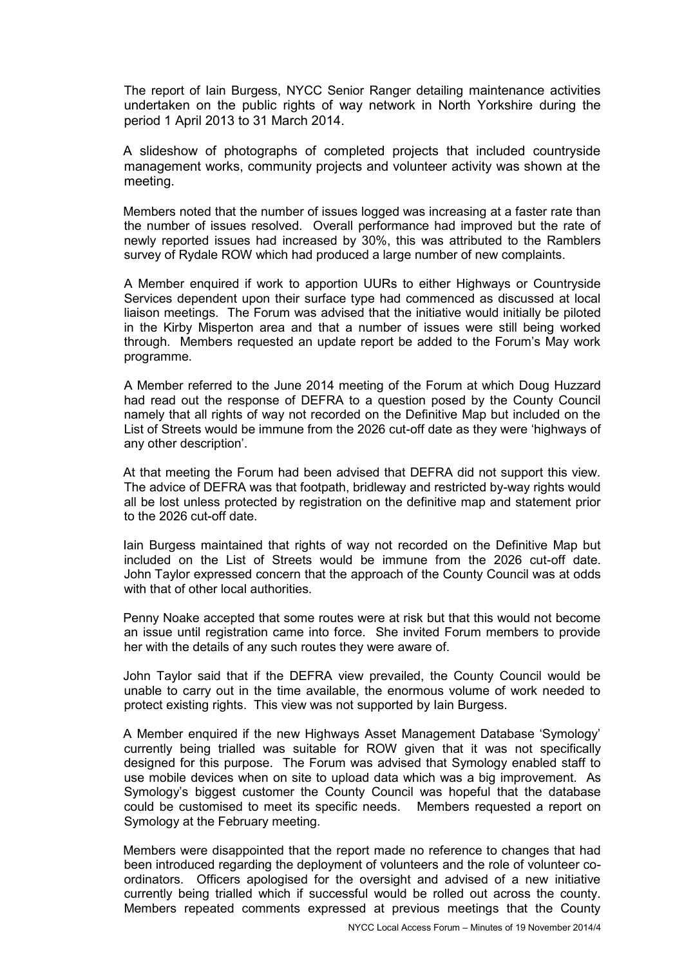The report of Iain Burgess, NYCC Senior Ranger detailing maintenance activities undertaken on the public rights of way network in North Yorkshire during the period 1 April 2013 to 31 March 2014.

A slideshow of photographs of completed projects that included countryside management works, community projects and volunteer activity was shown at the meeting.

Members noted that the number of issues logged was increasing at a faster rate than the number of issues resolved. Overall performance had improved but the rate of newly reported issues had increased by 30%, this was attributed to the Ramblers survey of Rydale ROW which had produced a large number of new complaints.

 A Member enquired if work to apportion UURs to either Highways or Countryside Services dependent upon their surface type had commenced as discussed at local liaison meetings. The Forum was advised that the initiative would initially be piloted in the Kirby Misperton area and that a number of issues were still being worked through. Members requested an update report be added to the Forum's May work programme.

 A Member referred to the June 2014 meeting of the Forum at which Doug Huzzard had read out the response of DEFRA to a question posed by the County Council namely that all rights of way not recorded on the Definitive Map but included on the List of Streets would be immune from the 2026 cut-off date as they were 'highways of any other description'.

At that meeting the Forum had been advised that DEFRA did not support this view. The advice of DEFRA was that footpath, bridleway and restricted by-way rights would all be lost unless protected by registration on the definitive map and statement prior to the 2026 cut-off date.

Iain Burgess maintained that rights of way not recorded on the Definitive Map but included on the List of Streets would be immune from the 2026 cut-off date. John Taylor expressed concern that the approach of the County Council was at odds with that of other local authorities.

Penny Noake accepted that some routes were at risk but that this would not become an issue until registration came into force. She invited Forum members to provide her with the details of any such routes they were aware of.

John Taylor said that if the DEFRA view prevailed, the County Council would be unable to carry out in the time available, the enormous volume of work needed to protect existing rights. This view was not supported by Iain Burgess.

A Member enquired if the new Highways Asset Management Database 'Symology' currently being trialled was suitable for ROW given that it was not specifically designed for this purpose. The Forum was advised that Symology enabled staff to use mobile devices when on site to upload data which was a big improvement. As Symology's biggest customer the County Council was hopeful that the database could be customised to meet its specific needs. Members requested a report on Symology at the February meeting.

Members were disappointed that the report made no reference to changes that had been introduced regarding the deployment of volunteers and the role of volunteer coordinators. Officers apologised for the oversight and advised of a new initiative currently being trialled which if successful would be rolled out across the county. Members repeated comments expressed at previous meetings that the County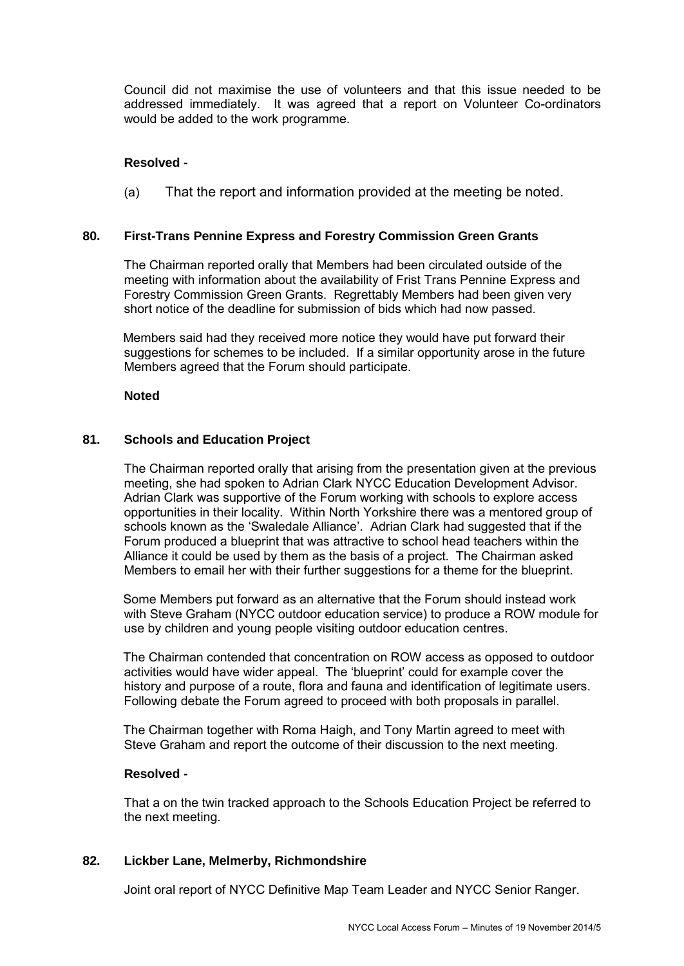Council did not maximise the use of volunteers and that this issue needed to be addressed immediately. It was agreed that a report on Volunteer Co-ordinators would be added to the work programme.

# **Resolved -**

(a) That the report and information provided at the meeting be noted.

## **80. First-Trans Pennine Express and Forestry Commission Green Grants**

 The Chairman reported orally that Members had been circulated outside of the meeting with information about the availability of Frist Trans Pennine Express and Forestry Commission Green Grants. Regrettably Members had been given very short notice of the deadline for submission of bids which had now passed.

Members said had they received more notice they would have put forward their suggestions for schemes to be included. If a similar opportunity arose in the future Members agreed that the Forum should participate.

#### **Noted**

## **81. Schools and Education Project**

 The Chairman reported orally that arising from the presentation given at the previous meeting, she had spoken to Adrian Clark NYCC Education Development Advisor. Adrian Clark was supportive of the Forum working with schools to explore access opportunities in their locality. Within North Yorkshire there was a mentored group of schools known as the 'Swaledale Alliance'. Adrian Clark had suggested that if the Forum produced a blueprint that was attractive to school head teachers within the Alliance it could be used by them as the basis of a project. The Chairman asked Members to email her with their further suggestions for a theme for the blueprint.

Some Members put forward as an alternative that the Forum should instead work with Steve Graham (NYCC outdoor education service) to produce a ROW module for use by children and young people visiting outdoor education centres.

The Chairman contended that concentration on ROW access as opposed to outdoor activities would have wider appeal. The 'blueprint' could for example cover the history and purpose of a route, flora and fauna and identification of legitimate users. Following debate the Forum agreed to proceed with both proposals in parallel.

The Chairman together with Roma Haigh, and Tony Martin agreed to meet with Steve Graham and report the outcome of their discussion to the next meeting.

#### **Resolved -**

 That a on the twin tracked approach to the Schools Education Project be referred to the next meeting.

#### **82. Lickber Lane, Melmerby, Richmondshire**

Joint oral report of NYCC Definitive Map Team Leader and NYCC Senior Ranger.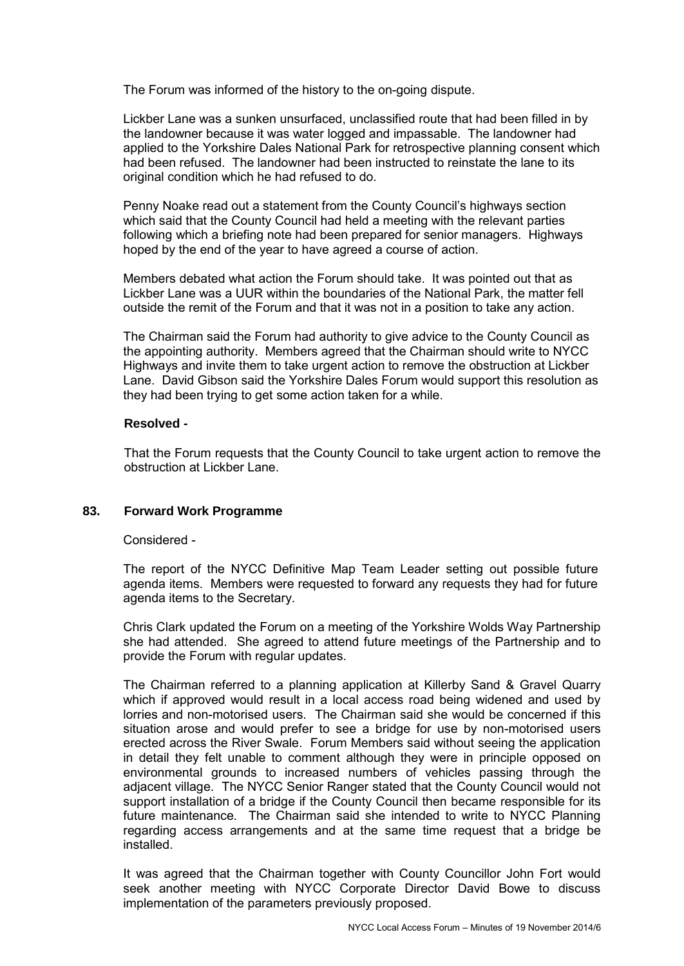The Forum was informed of the history to the on-going dispute.

Lickber Lane was a sunken unsurfaced, unclassified route that had been filled in by the landowner because it was water logged and impassable. The landowner had applied to the Yorkshire Dales National Park for retrospective planning consent which had been refused. The landowner had been instructed to reinstate the lane to its original condition which he had refused to do.

Penny Noake read out a statement from the County Council's highways section which said that the County Council had held a meeting with the relevant parties following which a briefing note had been prepared for senior managers. Highways hoped by the end of the year to have agreed a course of action.

Members debated what action the Forum should take. It was pointed out that as Lickber Lane was a UUR within the boundaries of the National Park, the matter fell outside the remit of the Forum and that it was not in a position to take any action.

The Chairman said the Forum had authority to give advice to the County Council as the appointing authority. Members agreed that the Chairman should write to NYCC Highways and invite them to take urgent action to remove the obstruction at Lickber Lane. David Gibson said the Yorkshire Dales Forum would support this resolution as they had been trying to get some action taken for a while.

# **Resolved -**

 That the Forum requests that the County Council to take urgent action to remove the obstruction at Lickber Lane.

# **83. Forward Work Programme**

#### Considered -

The report of the NYCC Definitive Map Team Leader setting out possible future agenda items. Members were requested to forward any requests they had for future agenda items to the Secretary.

Chris Clark updated the Forum on a meeting of the Yorkshire Wolds Way Partnership she had attended. She agreed to attend future meetings of the Partnership and to provide the Forum with regular updates.

The Chairman referred to a planning application at Killerby Sand & Gravel Quarry which if approved would result in a local access road being widened and used by lorries and non-motorised users. The Chairman said she would be concerned if this situation arose and would prefer to see a bridge for use by non-motorised users erected across the River Swale. Forum Members said without seeing the application in detail they felt unable to comment although they were in principle opposed on environmental grounds to increased numbers of vehicles passing through the adjacent village. The NYCC Senior Ranger stated that the County Council would not support installation of a bridge if the County Council then became responsible for its future maintenance. The Chairman said she intended to write to NYCC Planning regarding access arrangements and at the same time request that a bridge be installed.

It was agreed that the Chairman together with County Councillor John Fort would seek another meeting with NYCC Corporate Director David Bowe to discuss implementation of the parameters previously proposed.